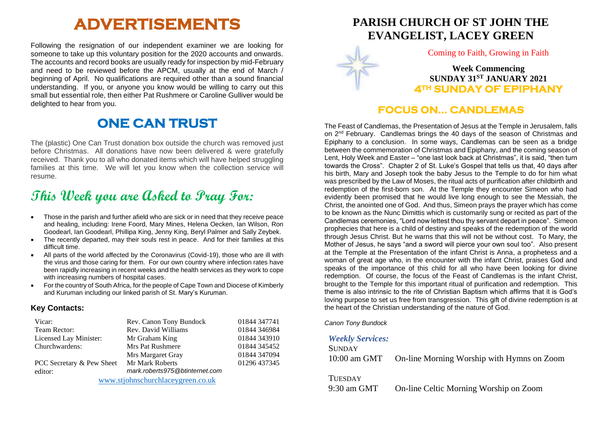# **ADVERTISEMENTS**

Following the resignation of our independent examiner we are looking for someone to take up this voluntary position for the 2020 accounts and onwards. The accounts and record books are usually ready for inspection by mid-February and need to be reviewed before the APCM, usually at the end of March / beginning of April. No qualifications are required other than a sound financial understanding. If you, or anyone you know would be willing to carry out this small but essential role, then either Pat Rushmere or Caroline Gulliver would be delighted to hear from you.

## **ONE CAN TRUST**

The (plastic) One Can Trust donation box outside the church was removed just before Christmas. All donations have now been delivered & were gratefully received. Thank you to all who donated items which will have helped struggling families at this time. We will let you know when the collection service will resume.

# **This Week you are Asked to Pray For:**

- Those in the parish and further afield who are sick or in need that they receive peace and healing, including: Irene Foord, Mary Mines, Helena Oecken, Ian Wilson, Ron Goodearl, Ian Goodearl, Phillipa King, Jenny King, Beryl Palmer and Sally Zeybek.
- The recently departed, may their souls rest in peace. And for their families at this difficult time.
- All parts of the world affected by the Coronavirus (Covid-19), those who are ill with the virus and those caring for them. For our own country where infection rates have been rapidly increasing in recent weeks and the health services as they work to cope with increasing numbers of hospital cases.
- For the country of South Africa, for the people of Cape Town and Diocese of Kimberly and Kuruman including our linked parish of St. Mary's Kuruman.

#### **Key Contacts:**

| Vicar:                            | Rev. Canon Tony Bundock        | 01844 347741 |
|-----------------------------------|--------------------------------|--------------|
| Team Rector:                      | Rev. David Williams            | 01844 346984 |
| Licensed Lay Minister:            | Mr Graham King                 | 01844 343910 |
| Churchwardens:                    | Mrs Pat Rushmere               | 01844 345452 |
|                                   | Mrs Margaret Gray              | 01844 347094 |
| PCC Secretary & Pew Sheet         | Mr Mark Roberts                | 01296 437345 |
| editor:                           | mark.roberts975@btinternet.com |              |
| www.stjohnschurchlaceygreen.co.uk |                                |              |

**PARISH CHURCH OF ST JOHN THE EVANGELIST, LACEY GREEN**



Coming to Faith, Growing in Faith

**Week Commencing SUNDAY 31ST JANUARY 2021 4TH SUNDAY OF EPIPHANY** 

#### **FOCUS ON… CANDLEMAS**

The Feast of Candlemas, the Presentation of Jesus at the Temple in Jerusalem, falls on  $2<sup>nd</sup>$  February. Candlemas brings the 40 days of the season of Christmas and Epiphany to a conclusion. In some ways, Candlemas can be seen as a bridge between the commemoration of Christmas and Epiphany, and the coming season of Lent, Holy Week and Easter – "one last look back at Christmas", it is said, "then turn towards the Cross". Chapter 2 of St. Luke's Gospel that tells us that, 40 days after his birth, Mary and Joseph took the baby Jesus to the Temple to do for him what was prescribed by the Law of Moses, the ritual acts of purification after childbirth and redemption of the first-born son. At the Temple they encounter Simeon who had evidently been promised that he would live long enough to see the Messiah, the Christ, the anointed one of God. And thus, Simeon prays the prayer which has come to be known as the Nunc Dimittis which is customarily sung or recited as part of the Candlemas ceremonies, "Lord now lettest thou thy servant depart in peace". Simeon prophecies that here is a child of destiny and speaks of the redemption of the world through Jesus Christ. But he warns that this will not be without cost. To Mary, the Mother of Jesus, he says "and a sword will pierce your own soul too". Also present at the Temple at the Presentation of the infant Christ is Anna, a prophetess and a woman of great age who, in the encounter with the infant Christ, praises God and speaks of the importance of this child for all who have been looking for divine redemption. Of course, the focus of the Feast of Candlemas is the infant Christ, brought to the Temple for this important ritual of purification and redemption. This theme is also intrinsic to the rite of Christian Baptism which affirms that it is God's loving purpose to set us free from transgression. This gift of divine redemption is at the heart of the Christian understanding of the nature of God.

*Canon Tony Bundock*

#### *Weekly Services:*

| <b>SUNDAY</b> |                                            |
|---------------|--------------------------------------------|
| 10:00 am GMT  | On-line Morning Worship with Hymns on Zoom |

**TUESDAY** 

9:30 am GMT On-line Celtic Morning Worship on Zoom